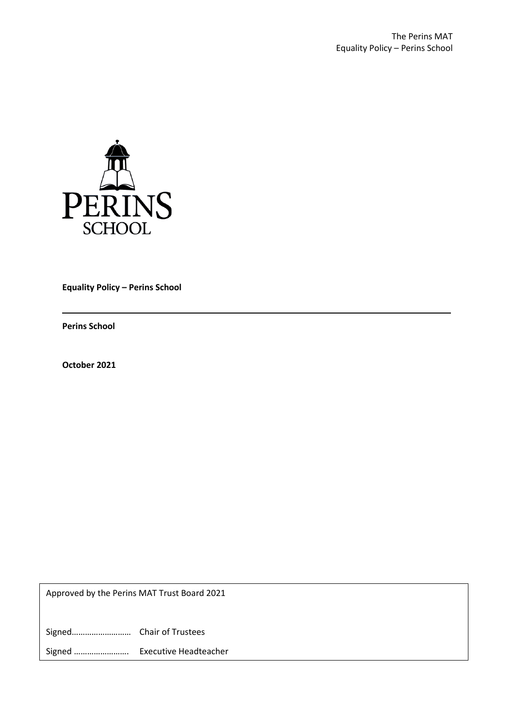

**Equality Policy – Perins School**

**Perins School**

**October 2021**

Approved by the Perins MAT Trust Board 2021

Signed……………………… Chair of Trustees

Signed ……………………. Executive Headteacher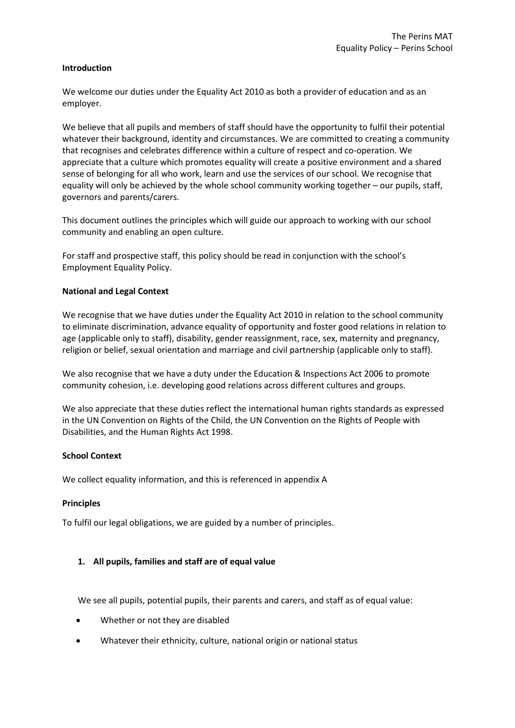## **Introduction**

We welcome our duties under the Equality Act 2010 as both a provider of education and as an employer.

We believe that all pupils and members of staff should have the opportunity to fulfil their potential whatever their background, identity and circumstances. We are committed to creating a community that recognises and celebrates difference within a culture of respect and co-operation. We appreciate that a culture which promotes equality will create a positive environment and a shared sense of belonging for all who work, learn and use the services of our school. We recognise that equality will only be achieved by the whole school community working together – our pupils, staff, governors and parents/carers.

This document outlines the principles which will guide our approach to working with our school community and enabling an open culture.

For staff and prospective staff, this policy should be read in conjunction with the school's Employment Equality Policy.

## **National and Legal Context**

We recognise that we have duties under the Equality Act 2010 in relation to the school community to eliminate discrimination, advance equality of opportunity and foster good relations in relation to age (applicable only to staff), disability, gender reassignment, race, sex, maternity and pregnancy, religion or belief, sexual orientation and marriage and civil partnership (applicable only to staff).

We also recognise that we have a duty under the Education & Inspections Act 2006 to promote community cohesion, i.e. developing good relations across different cultures and groups.

We also appreciate that these duties reflect the international human rights standards as expressed in the UN Convention on Rights of the Child, the UN Convention on the Rights of People with Disabilities, and the Human Rights Act 1998.

## **School Context**

We collect equality information, and this is referenced in appendix A

#### **Principles**

To fulfil our legal obligations, we are guided by a number of principles.

## **1. All pupils, families and staff are of equal value**

We see all pupils, potential pupils, their parents and carers, and staff as of equal value:

- Whether or not they are disabled
- Whatever their ethnicity, culture, national origin or national status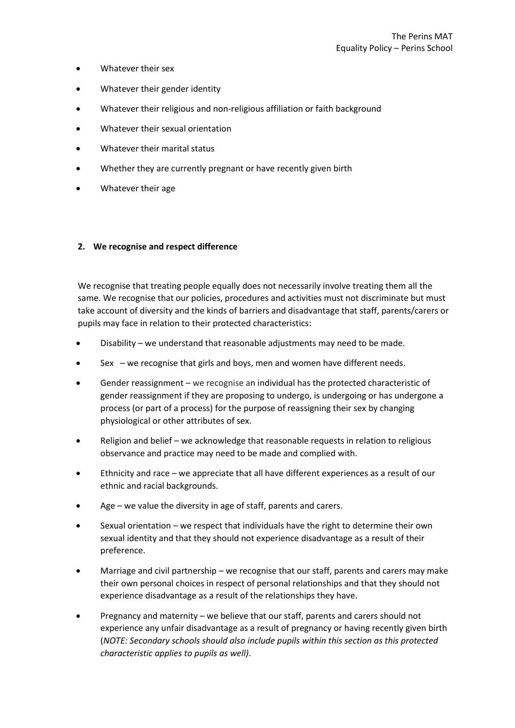- Whatever their sex
- Whatever their gender identity
- Whatever their religious and non-religious affiliation or faith background
- Whatever their sexual orientation
- Whatever their marital status
- Whether they are currently pregnant or have recently given birth
- Whatever their age

## **2. We recognise and respect difference**

We recognise that treating people equally does not necessarily involve treating them all the same. We recognise that our policies, procedures and activities must not discriminate but must take account of diversity and the kinds of barriers and disadvantage that staff, parents/carers or pupils may face in relation to their protected characteristics:

- Disability we understand that reasonable adjustments may need to be made.
- Sex  $-$  we recognise that girls and boys, men and women have different needs.
- Gender reassignment we recognise an individual has the protected characteristic of gender reassignment if they are proposing to undergo, is undergoing or has undergone a process (or part of a process) for the purpose of reassigning their sex by changing physiological or other attributes of sex.
- Religion and belief we acknowledge that reasonable requests in relation to religious observance and practice may need to be made and complied with.
- Ethnicity and race we appreciate that all have different experiences as a result of our ethnic and racial backgrounds.
- Age we value the diversity in age of staff, parents and carers.
- Sexual orientation we respect that individuals have the right to determine their own sexual identity and that they should not experience disadvantage as a result of their preference.
- Marriage and civil partnership we recognise that our staff, parents and carers may make their own personal choices in respect of personal relationships and that they should not experience disadvantage as a result of the relationships they have.
- Pregnancy and maternity we believe that our staff, parents and carers should not experience any unfair disadvantage as a result of pregnancy or having recently given birth (*NOTE: Secondary schools should also include pupils within this section as this protected characteristic applies to pupils as well)*.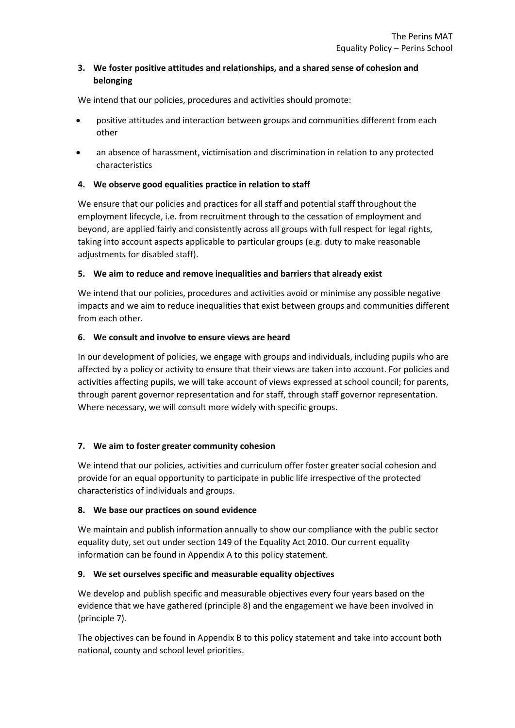# **3. We foster positive attitudes and relationships, and a shared sense of cohesion and belonging**

We intend that our policies, procedures and activities should promote:

- positive attitudes and interaction between groups and communities different from each other
- an absence of harassment, victimisation and discrimination in relation to any protected characteristics

## **4. We observe good equalities practice in relation to staff**

We ensure that our policies and practices for all staff and potential staff throughout the employment lifecycle, i.e. from recruitment through to the cessation of employment and beyond, are applied fairly and consistently across all groups with full respect for legal rights, taking into account aspects applicable to particular groups (e.g. duty to make reasonable adjustments for disabled staff).

## **5. We aim to reduce and remove inequalities and barriers that already exist**

We intend that our policies, procedures and activities avoid or minimise any possible negative impacts and we aim to reduce inequalities that exist between groups and communities different from each other.

## **6. We consult and involve to ensure views are heard**

In our development of policies, we engage with groups and individuals, including pupils who are affected by a policy or activity to ensure that their views are taken into account. For policies and activities affecting pupils, we will take account of views expressed at school council; for parents, through parent governor representation and for staff, through staff governor representation. Where necessary, we will consult more widely with specific groups.

# **7. We aim to foster greater community cohesion**

We intend that our policies, activities and curriculum offer foster greater social cohesion and provide for an equal opportunity to participate in public life irrespective of the protected characteristics of individuals and groups.

# **8. We base our practices on sound evidence**

We maintain and publish information annually to show our compliance with the public sector equality duty, set out under section 149 of the Equality Act 2010. Our current equality information can be found in Appendix A to this policy statement.

## **9. We set ourselves specific and measurable equality objectives**

We develop and publish specific and measurable objectives every four years based on the evidence that we have gathered (principle 8) and the engagement we have been involved in (principle 7).

The objectives can be found in Appendix B to this policy statement and take into account both national, county and school level priorities.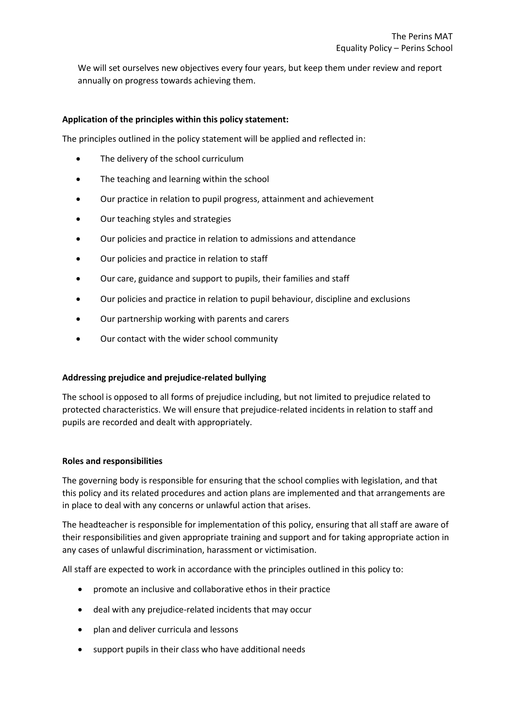We will set ourselves new objectives every four years, but keep them under review and report annually on progress towards achieving them.

## **Application of the principles within this policy statement:**

The principles outlined in the policy statement will be applied and reflected in:

- The delivery of the school curriculum
- The teaching and learning within the school
- Our practice in relation to pupil progress, attainment and achievement
- Our teaching styles and strategies
- Our policies and practice in relation to admissions and attendance
- Our policies and practice in relation to staff
- Our care, guidance and support to pupils, their families and staff
- Our policies and practice in relation to pupil behaviour, discipline and exclusions
- Our partnership working with parents and carers
- Our contact with the wider school community

## **Addressing prejudice and prejudice-related bullying**

The school is opposed to all forms of prejudice including, but not limited to prejudice related to protected characteristics. We will ensure that prejudice-related incidents in relation to staff and pupils are recorded and dealt with appropriately.

## **Roles and responsibilities**

The governing body is responsible for ensuring that the school complies with legislation, and that this policy and its related procedures and action plans are implemented and that arrangements are in place to deal with any concerns or unlawful action that arises.

The headteacher is responsible for implementation of this policy, ensuring that all staff are aware of their responsibilities and given appropriate training and support and for taking appropriate action in any cases of unlawful discrimination, harassment or victimisation.

All staff are expected to work in accordance with the principles outlined in this policy to:

- promote an inclusive and collaborative ethos in their practice
- deal with any prejudice-related incidents that may occur
- plan and deliver curricula and lessons
- support pupils in their class who have additional needs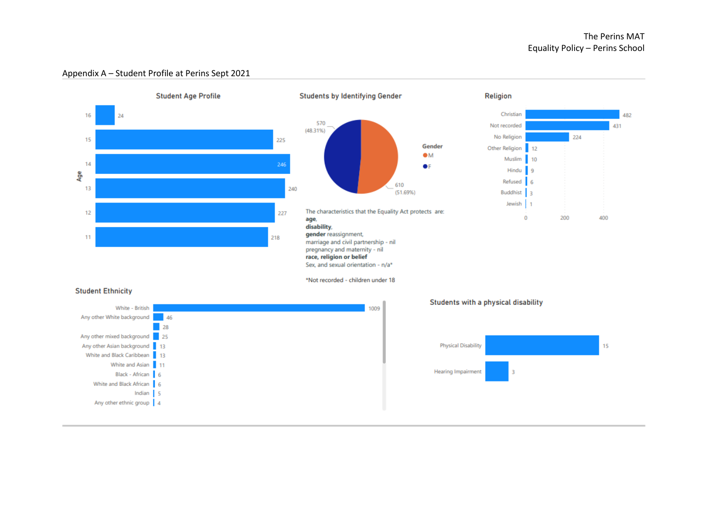

#### Appendix A – Student Profile at Perins Sept 2021